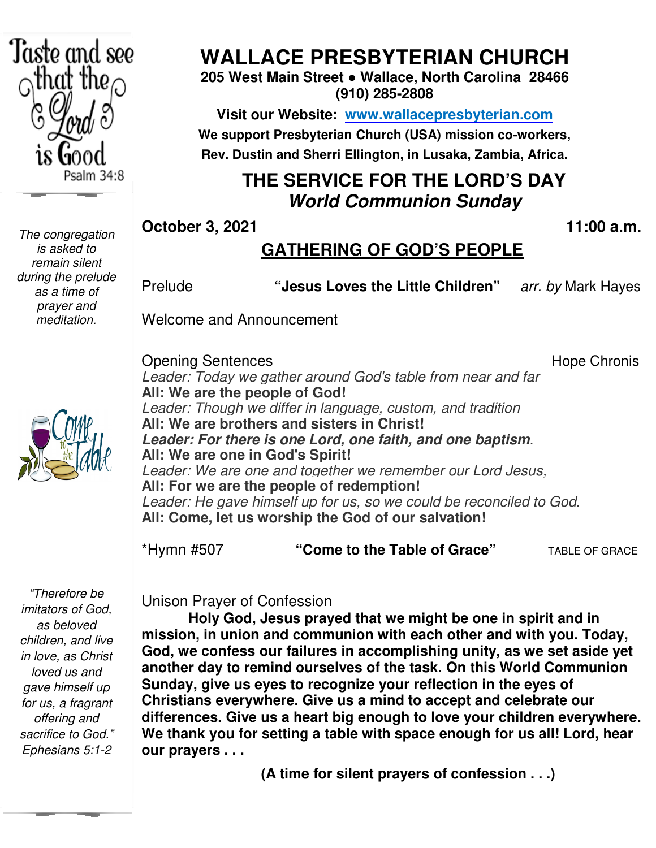

*The congregation is asked to remain silent during the prelude as a time of prayer and meditation.* 

# **WALLACE PRESBYTERIAN CHURCH**

**205 West Main Street ● Wallace, North Carolina 28466 (910) 285-2808** 

**Visit our Website: www.wallacepresbyterian.com** We support Presbyterian Church (USA) mission co-workers, **Rev. Dustin and Sherri Ellington, in Lusaka, Zambia, Africa. Sherri Ellington,** 

#### **THE SERVICE FOR THE LORD'S DAY World Communion Sunday**

**October 3, 2021** 

#### **, 11:00 a.m .**

#### **GATHERING OF GOD'S PEOPLE**

Prelude **The State of State Children**" arr. by Mark Haye arr. by Mark Hayes

Welcome and Announcement and Announcement

Opening Sentences Leader: Today we gather around God's table from near and far **All: We are the people of God! eople of** Leader: Though we differ in language, custom, and tradition **All: We are brothers and sisters in Christ! sisters** Leader: For there is one Lord, one faith, and one baptism. **All: We are one in God's Spirit!** *Leader: We are one and together we remember our Lord Jesus,* **All: For we are the people of redemption!** *Leader: We are one and together we remember our Lord Jesus,<br>All: For we are the people of redemption!<br>Leader: He gave himself up for us, so we could be reconciled to God.* **All: Come, let us worship the God of our s salvation!**  Hope Chronis

\*Hymn #507 **"Come to the Table of Grace Table Grace"** TABLE OF GRACE

 *sacrifice to God." "Therefore be imitators of God, as beloved children, and live in love, as Christ loved us and gave himself up for us, a fragrant offering and Ephesians 5:1-2* 

Unison Prayer of Confession Unison Prayer of

**Holy God, Jesus Jesus prayed that we might be one in spirit and in mission, in union and communion communion with each other and with you. Today,** God, we confess our failures in accomplishing unity, as we set aside yet another day to remind ourselves of the task. On this World Communion **Sunday, give us eyes to to recognize your reflection in the eyes of Christians everywhere. everywhere. Give us a mind to accept and celebrate our** differences. Give us a heart big enough to love your children everywhere. We thank you for setting a table with space enough for us all! Lord, hear **our prayers . . .** 

 **(A time for silent prayers of confession . . .)**

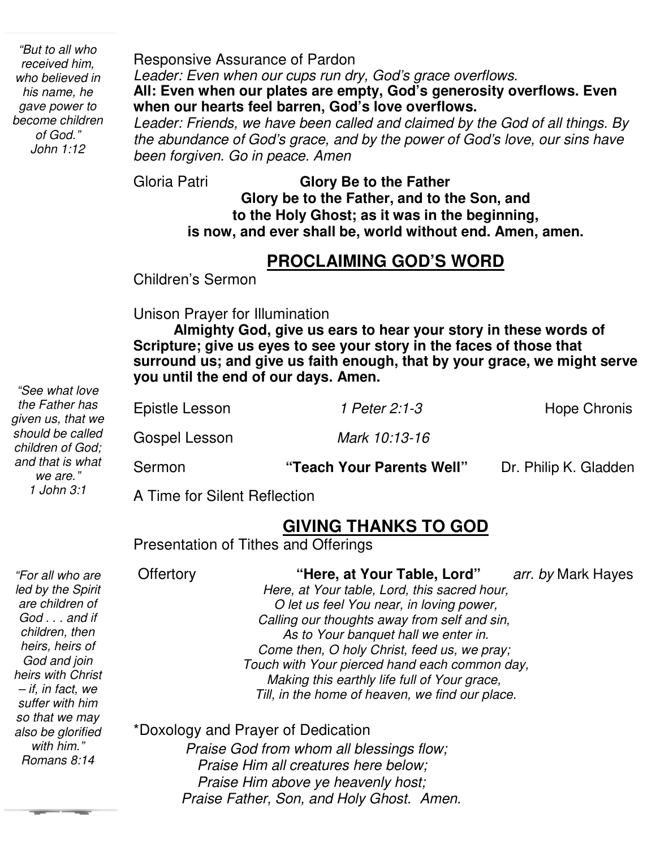*"But to all who received him, who believed in his name, he gave power to become children of God." John 1:12* 

Responsive Assurance of Pardon *Leader: Even when our cups run dry, God's grace overflows.*  **All: Even when our plates are empty, God's generosity overflows. Even when our hearts feel barren, God's love overflows.** 

*Leader: Friends, we have been called and claimed by the God of all things. By the abundance of God's grace, and by the power of God's love, our sins have been forgiven. Go in peace. Amen*

Gloria Patri **Glory Be to the Father Glory be to the Father, and to the Son, and to the Holy Ghost; as it was in the beginning, is now, and ever shall be, world without end. Amen, amen.** 

#### **PROCLAIMING GOD'S WORD**

Children's Sermon

Unison Prayer for Illumination

 **Scripture; give us eyes to see your story in the faces of those that surround us; and give us faith enough, that by your grace, we might serve Almighty God, give us ears to hear your story in these words of you until the end of our days. Amen.**

| Sermon         | "Teach Your Parents Well" | Dr. Philip K. Gladden |
|----------------|---------------------------|-----------------------|
| Gospel Lesson  | Mark 10:13-16             |                       |
| Epistle Lesson | 1 Peter 2:1-3             | <b>Hope Chronis</b>   |

A Time for Silent Reflection

# **GIVING THANKS TO GOD**

Presentation of Tithes and Offerings

| "For all who are<br>led by the Spirit<br>are children of<br>$God \dots$ and if<br>children, then<br>heirs, heirs of<br>God and join<br>heirs with Christ<br>- if, in fact, we<br>suffer with him | <b>Offertory</b> | "Here, at Your Table, Lord"<br>Here, at Your table, Lord, this sacred hour,<br>O let us feel You near, in loving power,<br>Calling our thoughts away from self and sin,<br>As to Your banquet hall we enter in.<br>Come then, O holy Christ, feed us, we pray;<br>Touch with Your pierced hand each common day,<br>Making this earthly life full of Your grace,<br>Till, in the home of heaven, we find our place. | arr. by Mark Hayes |
|--------------------------------------------------------------------------------------------------------------------------------------------------------------------------------------------------|------------------|--------------------------------------------------------------------------------------------------------------------------------------------------------------------------------------------------------------------------------------------------------------------------------------------------------------------------------------------------------------------------------------------------------------------|--------------------|
| so that we may<br>also be glorified<br>with him."<br>Romans 8:14                                                                                                                                 |                  | *Doxology and Prayer of Dedication<br>Praise God from whom all blessings flow;<br>Praise Him all creatures here below;                                                                                                                                                                                                                                                                                             |                    |

 *Praise Him above ye heavenly host; Praise Father, Son, and Holy Ghost. Amen.* 

*"See what love the Father has given us, that we should be called children of God; and that is what we are." 1 John 3:1*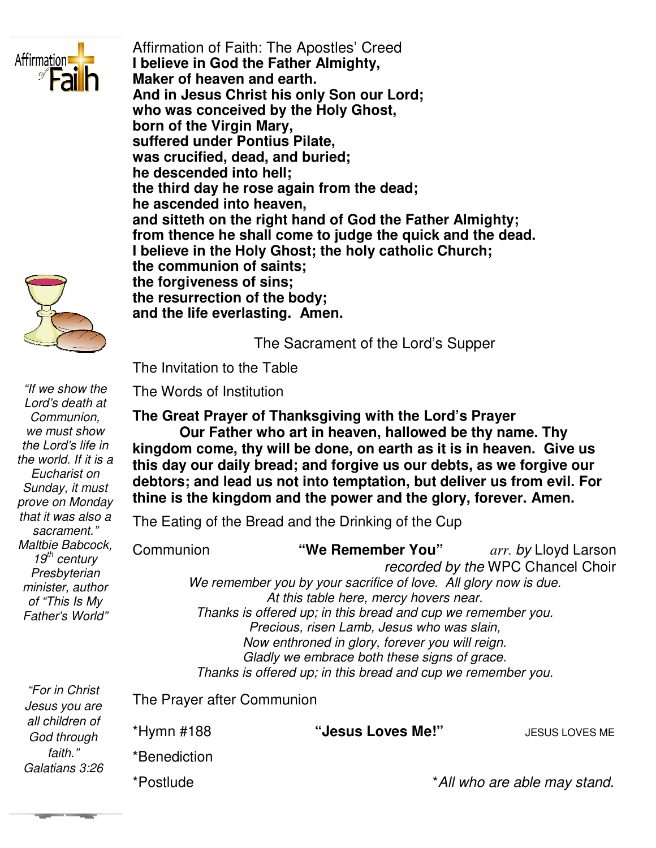

Affirmation of Faith: The Apostles' Creed **I believe in God the Father Almighty, Maker of heaven and earth. And in Jesus Christ his only Son our Lord;** Maker of heaven and earth.<br>And in Jesus Christ his only Son our Lord;<br>who was conceived by the Holy Ghost, **born of the Virgin Mary, suffered under Pontius Pilate, was crucified, dead, and buried; he descended into hell;**  the third day he rose again from the dead; **he ascended into heaven, and sitteth on the right hand of God the Father Almighty;** he ascended into heaven,<br>and sitteth on the right hand of God the Father Almighty;<br>from thence he shall come to judge the quick and the dead. **I** believe in the Holy Ghost; the holy catholic Church; **the communion of saints; saints; the forgiveness of sins; the resurrection of the body; of body; and the life everlasting. Amen.** 

The Sacrament of the Lord Sacrament of Lord's Supper

The Invitation to the Table Invitation to the

The Words of Institution

The Great Prayer of Thanksgiving with the Lord's Prayer **Our Father who art in Our Father in heaven, hallowed be thy name. Thy kingdom come, thy will be done, on earth as it is in heaven. Give us this day our daily bread; and forgive us our debts, as we forgive our debtors; and lead us not into temptation, but deliver us from evil. For thine is the kingdom and the power and the glory, forever. Amen** come, thy will be done, on earth as it is in heaven. Give us<br>bur daily bread; and forgive us our debts, as we forgive our<br>and lead us not into temptation, but deliver us from evil. For<br>he kingdom and the power and the glor this day our daily bread; and forgive us our debts, as we<br>debtors; and lead us not into temptation, but deliver us fr

The Eating of the Bread and the Drinking of the Cup Eating

| Communion                                                    | "We Remember You"                                                | <i>arr. by</i> Lloyd Larson       |  |  |  |
|--------------------------------------------------------------|------------------------------------------------------------------|-----------------------------------|--|--|--|
|                                                              |                                                                  | recorded by the WPC Chancel Choir |  |  |  |
|                                                              | We remember you by your sacrifice of love. All glory now is due. |                                   |  |  |  |
| At this table here, mercy hovers near.                       |                                                                  |                                   |  |  |  |
| Thanks is offered up; in this bread and cup we remember you. |                                                                  |                                   |  |  |  |
| Precious, risen Lamb, Jesus who was slain,                   |                                                                  |                                   |  |  |  |
| Now enthroned in glory, forever you will reign.              |                                                                  |                                   |  |  |  |
| Gladly we embrace both these signs of grace.                 |                                                                  |                                   |  |  |  |
|                                                              | Thanks is offered up; in this bread and cup we remember you.     |                                   |  |  |  |
|                                                              |                                                                  |                                   |  |  |  |

The Prayer after Communion

\*Postlude

\*Hymn #188 \*Benediction Prayer after Communion<br>nn #188 "**Jesus Loves Me!**" JEsus Loves me

**JESUS LOVES ME** 

\**All who are able may stand who stand.*

*Jesus you are all children of God through faith." Galatians 3:26* 

*"For in Christ* 

*"If we show the Lord's death at Communion, we must show the Lord's life in the world. If it is a Eucharist on Sunday, it must prove on Monday that it was also a sacrament." Maltbie Babcock, 19th century Presbyterian minister, author of "This Is My Father's World"*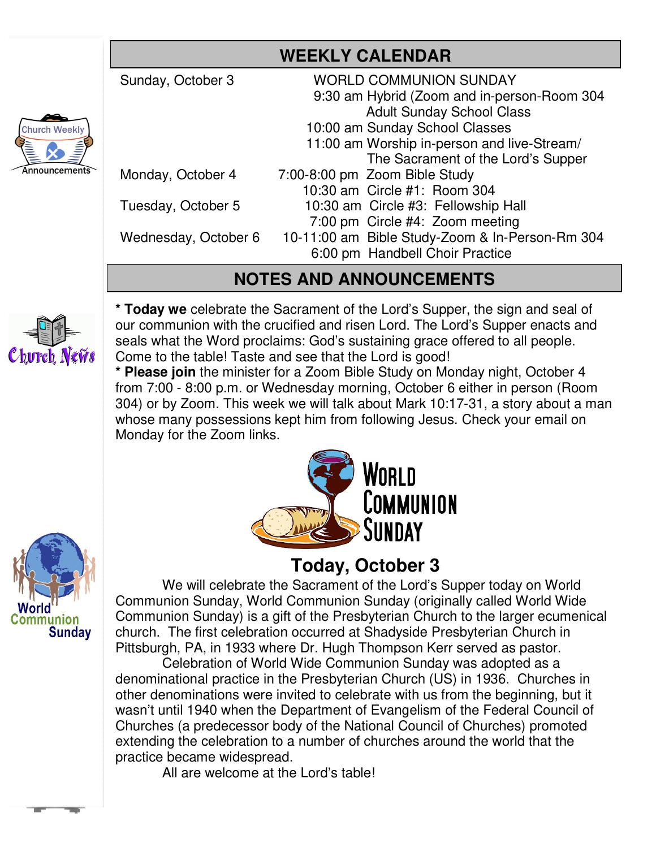## **WEEKLY CALENDAR**

Sunday, October 3 WORLD COMMUNION SUNDAY 9:30 am Hybrid (Zoom and in-person-Room 304 Adult Sunday School Class 10:00 am Sunday School Classes 11:00 am Worship in-person and live-Stream/ The Sacrament of the Lord's Supper Monday, October 47:00-8:00 pm Zoom Bible Study 10:30 am Circle #1: Room 304 Tuesday, October 5 10:30 am Circle #3: Fellowship Hall 7:00 pm Circle #4: Zoom meeting Wednesday, October 6 10-11:00 am Bible Study-Zoom & In-Person-Rm 304 6:00 pm Handbell Choir Practice

## **NOTES AND ANNOUNCEMENTS**

Church News

**\* Today we** celebrate the Sacrament of the Lord's Supper, the sign and seal of our communion with the crucified and risen Lord. The Lord's Supper enacts and seals what the Word proclaims: God's sustaining grace offered to all people. Come to the table! Taste and see that the Lord is good!

**\* Please join** the minister for a Zoom Bible Study on Monday night, October 4 from 7:00 - 8:00 p.m. or Wednesday morning, October 6 either in person (Room 304) or by Zoom. This week we will talk about Mark 10:17-31, a story about a man whose many possessions kept him from following Jesus. Check your email on Monday for the Zoom links.



# **Today, October 3**

We will celebrate the Sacrament of the Lord's Supper today on World Communion Sunday, World Communion Sunday (originally called World Wide Communion Sunday) is a gift of the Presbyterian Church to the larger ecumenical church. The first celebration occurred at Shadyside Presbyterian Church in Pittsburgh, PA, in 1933 where Dr. Hugh Thompson Kerr served as pastor.

 Celebration of World Wide Communion Sunday was adopted as a denominational practice in the Presbyterian Church (US) in 1936. Churches in other denominations were invited to celebrate with us from the beginning, but it wasn't until 1940 when the Department of Evangelism of the Federal Council of Churches (a predecessor body of the National Council of Churches) promoted extending the celebration to a number of churches around the world that the practice became widespread.

All are welcome at the Lord's table!





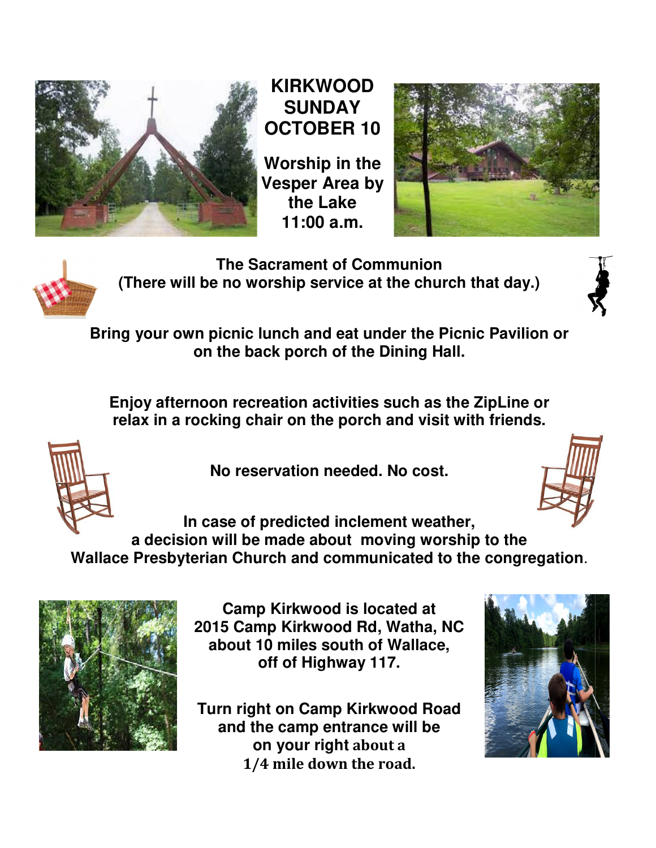

#### **KIRKWOOD SUNDAY OCTOBER 10 10**

**Worship in the Vesper Area by the Lake**





**The Sacrament of Communion** (There will be no worship service at the church that day.)



Bring your own picnic lunch and eat under the Picnic Pavilion or **on the back porch of the Dining Hall.**

**Enjoy afternoon recreation activities such as the ZipLine or relative conditions in the back porch of the Dining Hall.**<br>Enjoy afternoon recreation activities such as the ZipLine of<br>relax in a rocking chair on the porch and visit with friends.



**No reservation needed. No cost.**



**In case of predicted inclement weather, a decision will be made about as decision will be made about moving worship to the<br>a decision will be made about moving worship to the Wallace Presbyterian Church and communicated to the congregation** .



**Camp Kirkwood is located at** 2015 Camp Kirkwood Rd, Watha, NC **about 10 miles south of Wallace, off of Highway 117. of** 

**Turn right on Camp Kirkwood Road and the camp entrance will be on your right about a 1/4 mile down the road.**